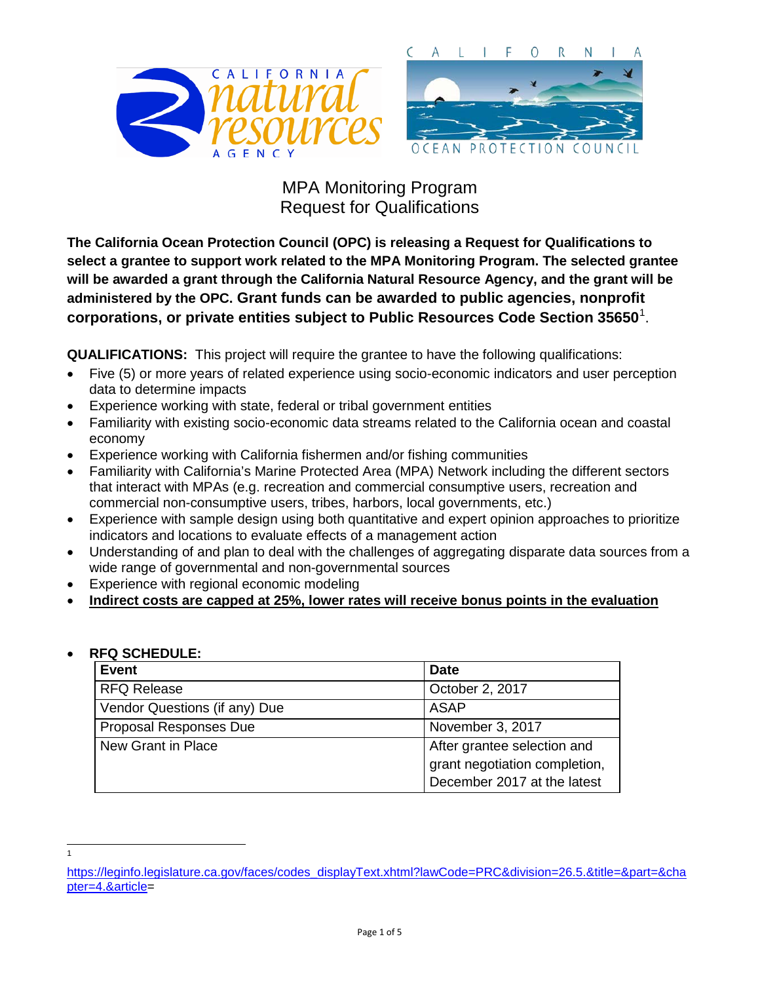

**The California Ocean Protection Council (OPC) is releasing a Request for Qualifications to select a grantee to support work related to the MPA Monitoring Program. The selected grantee will be awarded a grant through the California Natural Resource Agency, and the grant will be administered by the OPC. Grant funds can be awarded to public agencies, nonprofit corporations, or private entities subject to Public Resources Code Section 35650**[1](#page-0-0) .

**QUALIFICATIONS:** This project will require the grantee to have the following qualifications:

- Five (5) or more years of related experience using socio-economic indicators and user perception data to determine impacts
- Experience working with state, federal or tribal government entities
- Familiarity with existing socio-economic data streams related to the California ocean and coastal economy
- Experience working with California fishermen and/or fishing communities
- Familiarity with California's Marine Protected Area (MPA) Network including the different sectors that interact with MPAs (e.g. recreation and commercial consumptive users, recreation and commercial non-consumptive users, tribes, harbors, local governments, etc.)
- Experience with sample design using both quantitative and expert opinion approaches to prioritize indicators and locations to evaluate effects of a management action
- Understanding of and plan to deal with the challenges of aggregating disparate data sources from a wide range of governmental and non-governmental sources
- Experience with regional economic modeling
- **Indirect costs are capped at 25%, lower rates will receive bonus points in the evaluation**

| RFQ SCHEDULE: |                               |                               |
|---------------|-------------------------------|-------------------------------|
|               | <b>Event</b>                  | <b>Date</b>                   |
|               | <b>RFQ Release</b>            | October 2, 2017               |
|               | Vendor Questions (if any) Due | ASAP                          |
|               | Proposal Responses Due        | November 3, 2017              |
|               | New Grant in Place            | After grantee selection and   |
|               |                               | grant negotiation completion, |
|               |                               | December 2017 at the latest   |

### • **RFQ SCHEDULE:**

 $\frac{1}{1}$ 

<span id="page-0-0"></span>[https://leginfo.legislature.ca.gov/faces/codes\\_displayText.xhtml?lawCode=PRC&division=26.5.&title=&part=&cha](https://leginfo.legislature.ca.gov/faces/codes_displayText.xhtml?lawCode=PRC&division=26.5.&title=&part=&chapter=4.&article) [pter=4.&article=](https://leginfo.legislature.ca.gov/faces/codes_displayText.xhtml?lawCode=PRC&division=26.5.&title=&part=&chapter=4.&article)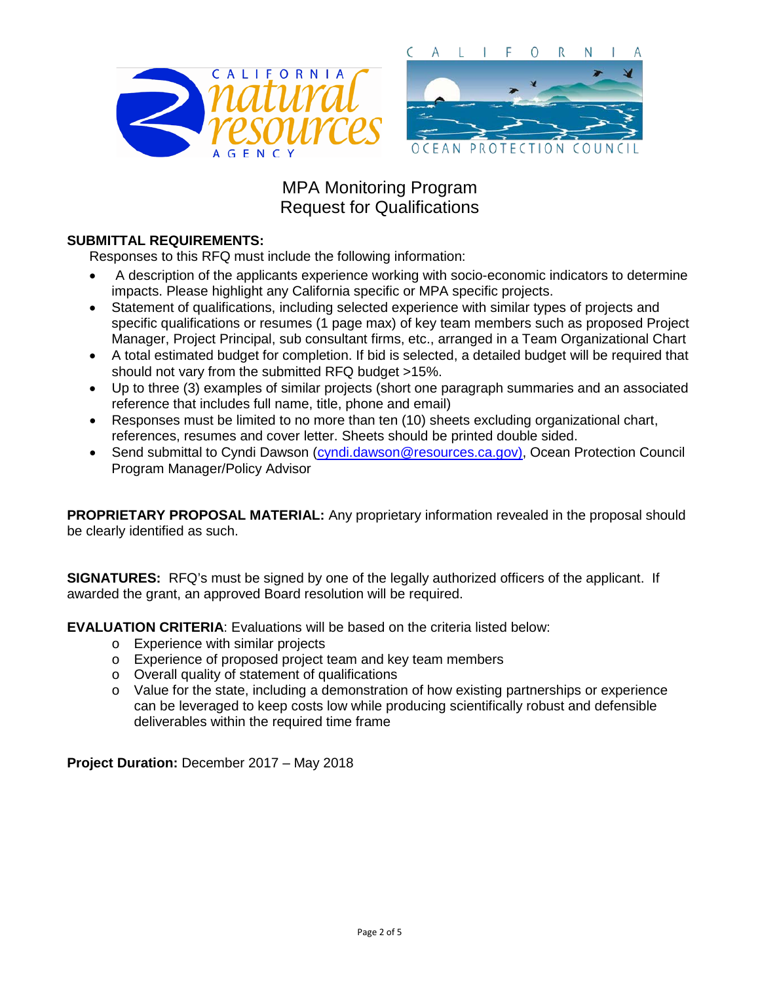

#### **SUBMITTAL REQUIREMENTS:**

Responses to this RFQ must include the following information:

- A description of the applicants experience working with socio-economic indicators to determine impacts. Please highlight any California specific or MPA specific projects.
- Statement of qualifications, including selected experience with similar types of projects and specific qualifications or resumes (1 page max) of key team members such as proposed Project Manager, Project Principal, sub consultant firms, etc., arranged in a Team Organizational Chart
- A total estimated budget for completion. If bid is selected, a detailed budget will be required that should not vary from the submitted RFQ budget >15%.
- Up to three (3) examples of similar projects (short one paragraph summaries and an associated reference that includes full name, title, phone and email)
- Responses must be limited to no more than ten (10) sheets excluding organizational chart, references, resumes and cover letter. Sheets should be printed double sided.
- Send submittal to Cyndi Dawson [\(cyndi.dawson@resources.ca.gov\)](mailto:cyndi.dawson@resources.ca.gov), Ocean Protection Council Program Manager/Policy Advisor

**PROPRIETARY PROPOSAL MATERIAL:** Any proprietary information revealed in the proposal should be clearly identified as such.

**SIGNATURES:** RFQ's must be signed by one of the legally authorized officers of the applicant. If awarded the grant, an approved Board resolution will be required.

**EVALUATION CRITERIA**: Evaluations will be based on the criteria listed below:

- o Experience with similar projects
- o Experience of proposed project team and key team members
- o Overall quality of statement of qualifications
- o Value for the state, including a demonstration of how existing partnerships or experience can be leveraged to keep costs low while producing scientifically robust and defensible deliverables within the required time frame

**Project Duration:** December 2017 – May 2018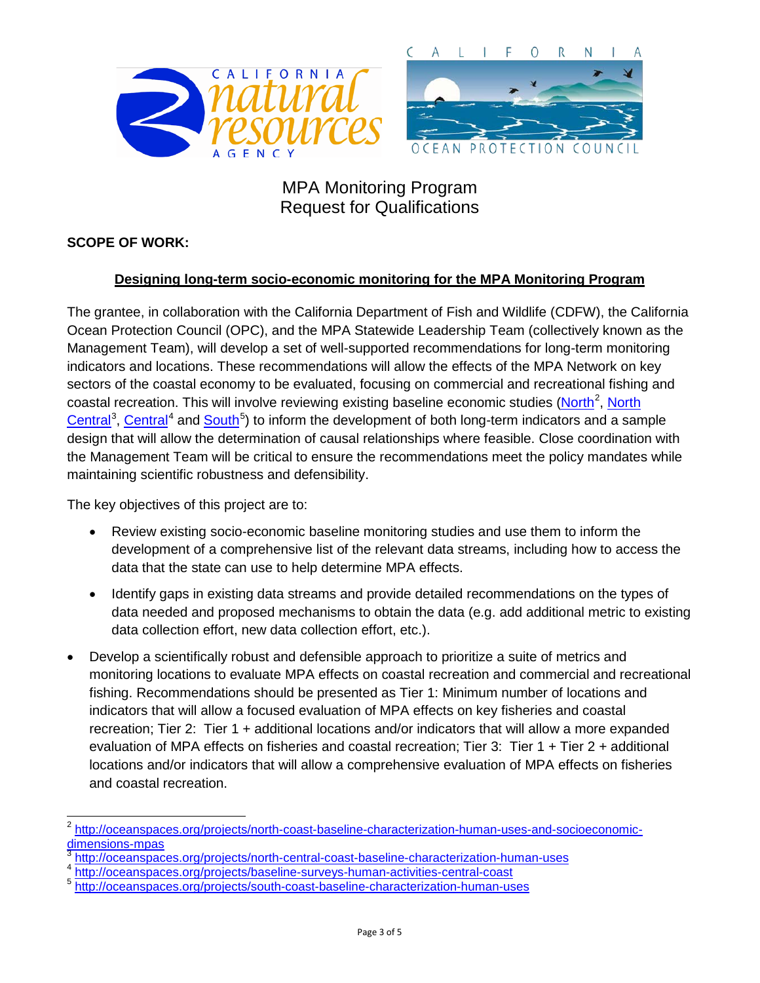

### **SCOPE OF WORK:**

### **Designing long-term socio-economic monitoring for the MPA Monitoring Program**

The grantee, in collaboration with the California Department of Fish and Wildlife (CDFW), the California Ocean Protection Council (OPC), and the MPA Statewide Leadership Team (collectively known as the Management Team), will develop a set of well-supported recommendations for long-term monitoring indicators and locations. These recommendations will allow the effects of the MPA Network on key sectors of the coastal economy to be evaluated, focusing on commercial and recreational fishing and coastal recreation. This will involve reviewing existing baseline economic studies [\(North](http://oceanspaces.org/projects/north-coast-baseline-characterization-human-uses-and-socioeconomic-dimensions-mpas)<sup>[2](#page-2-0)</sup>, North [Central](http://oceanspaces.org/projects/north-central-coast-baseline-characterization-human-uses)<sup>[3](#page-2-1)</sup>, [Central](http://oceanspaces.org/projects/baseline-surveys-human-activities-central-coast)<sup>[4](#page-2-2)</sup> and [South](http://oceanspaces.org/projects/south-coast-baseline-characterization-human-uses)<sup>[5](#page-2-3)</sup>) to inform the development of both long-term indicators and a sample design that will allow the determination of causal relationships where feasible. Close coordination with the Management Team will be critical to ensure the recommendations meet the policy mandates while maintaining scientific robustness and defensibility.

The key objectives of this project are to:

- Review existing socio-economic baseline monitoring studies and use them to inform the development of a comprehensive list of the relevant data streams, including how to access the data that the state can use to help determine MPA effects.
- Identify gaps in existing data streams and provide detailed recommendations on the types of data needed and proposed mechanisms to obtain the data (e.g. add additional metric to existing data collection effort, new data collection effort, etc.).
- Develop a scientifically robust and defensible approach to prioritize a suite of metrics and monitoring locations to evaluate MPA effects on coastal recreation and commercial and recreational fishing. Recommendations should be presented as Tier 1: Minimum number of locations and indicators that will allow a focused evaluation of MPA effects on key fisheries and coastal recreation; Tier 2: Tier 1 + additional locations and/or indicators that will allow a more expanded evaluation of MPA effects on fisheries and coastal recreation; Tier 3: Tier 1 + Tier 2 + additional locations and/or indicators that will allow a comprehensive evaluation of MPA effects on fisheries and coastal recreation.

<span id="page-2-0"></span> <sup>2</sup> [http://oceanspaces.org/projects/north-coast-baseline-characterization-human-uses-and-socioeconomic](http://oceanspaces.org/projects/north-coast-baseline-characterization-human-uses-and-socioeconomic-dimensions-mpas)[dimensions-mpas](http://oceanspaces.org/projects/north-coast-baseline-characterization-human-uses-and-socioeconomic-dimensions-mpas)<br><sup>3</sup> <http://oceanspaces.org/projects/north-central-coast-baseline-characterization-human-uses>

<span id="page-2-1"></span>

<span id="page-2-2"></span><sup>4</sup> <http://oceanspaces.org/projects/baseline-surveys-human-activities-central-coast>

<span id="page-2-3"></span><sup>5</sup> <http://oceanspaces.org/projects/south-coast-baseline-characterization-human-uses>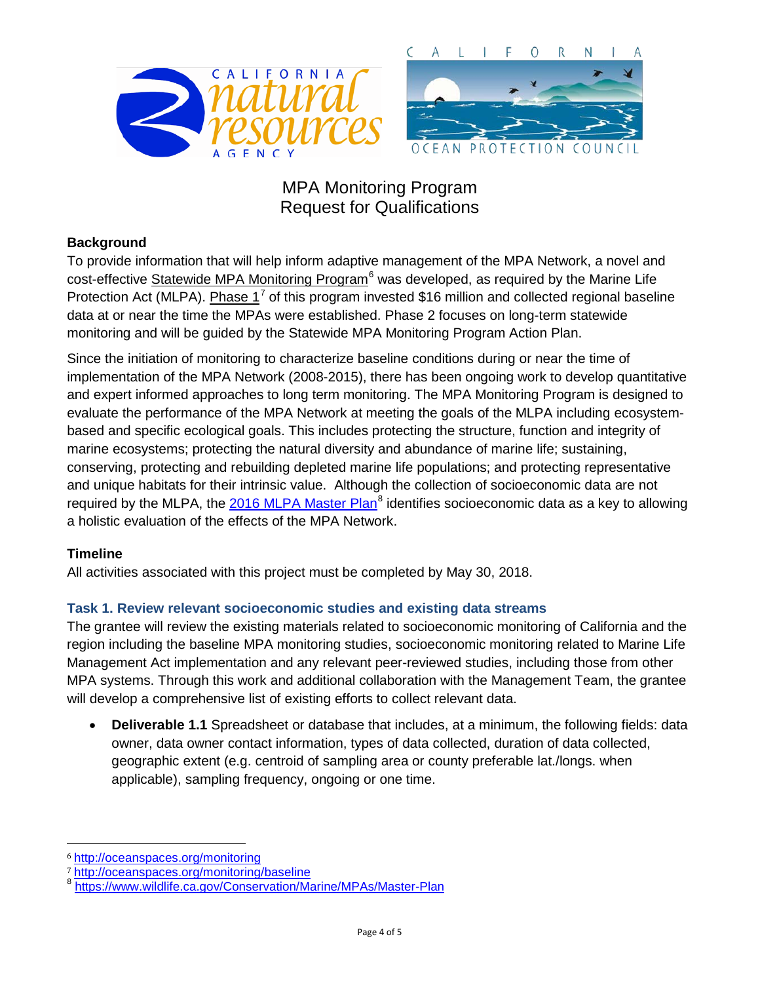

### **Background**

To provide information that will help inform adaptive management of the MPA Network, a novel and cost-effective [Statewide MPA Monitoring Program](http://oceanspaces.org/sites/default/files/statewide_mpa_monitoring_program_overview_-_final_17.pdf)<sup>[6](#page-3-0)</sup> was developed, as required by the Marine Life Protection Act (MLPA). Phase  $1^7$  $1^7$  of this program invested \$16 million and collected regional baseline data at or near the time the MPAs were established. Phase 2 focuses on long-term statewide monitoring and will be guided by the Statewide MPA Monitoring Program Action Plan.

Since the initiation of monitoring to characterize baseline conditions during or near the time of implementation of the MPA Network (2008-2015), there has been ongoing work to develop quantitative and expert informed approaches to long term monitoring. The MPA Monitoring Program is designed to evaluate the performance of the MPA Network at meeting the goals of the MLPA including ecosystembased and specific ecological goals. This includes protecting the structure, function and integrity of marine ecosystems; protecting the natural diversity and abundance of marine life; sustaining, conserving, protecting and rebuilding depleted marine life populations; and protecting representative and unique habitats for their intrinsic value. Although the collection of socioeconomic data are not required by the MLPA, the [2016 MLPA Master Plan](https://www.wildlife.ca.gov/Conservation/Marine/MPAs/Master-Plan)<sup>[8](#page-3-2)</sup> identifies socioeconomic data as a key to allowing a holistic evaluation of the effects of the MPA Network.

### **Timeline**

 $\ddot{\phantom{a}}$ 

All activities associated with this project must be completed by May 30, 2018.

#### **Task 1. Review relevant socioeconomic studies and existing data streams**

The grantee will review the existing materials related to socioeconomic monitoring of California and the region including the baseline MPA monitoring studies, socioeconomic monitoring related to Marine Life Management Act implementation and any relevant peer-reviewed studies, including those from other MPA systems. Through this work and additional collaboration with the Management Team, the grantee will develop a comprehensive list of existing efforts to collect relevant data.

• **Deliverable 1.1** Spreadsheet or database that includes, at a minimum, the following fields: data owner, data owner contact information, types of data collected, duration of data collected, geographic extent (e.g. centroid of sampling area or county preferable lat./longs. when applicable), sampling frequency, ongoing or one time.

<span id="page-3-0"></span><sup>6</sup> <http://oceanspaces.org/monitoring>

<span id="page-3-1"></span><sup>7</sup> <http://oceanspaces.org/monitoring/baseline>

<span id="page-3-2"></span><https://www.wildlife.ca.gov/Conservation/Marine/MPAs/Master-Plan>